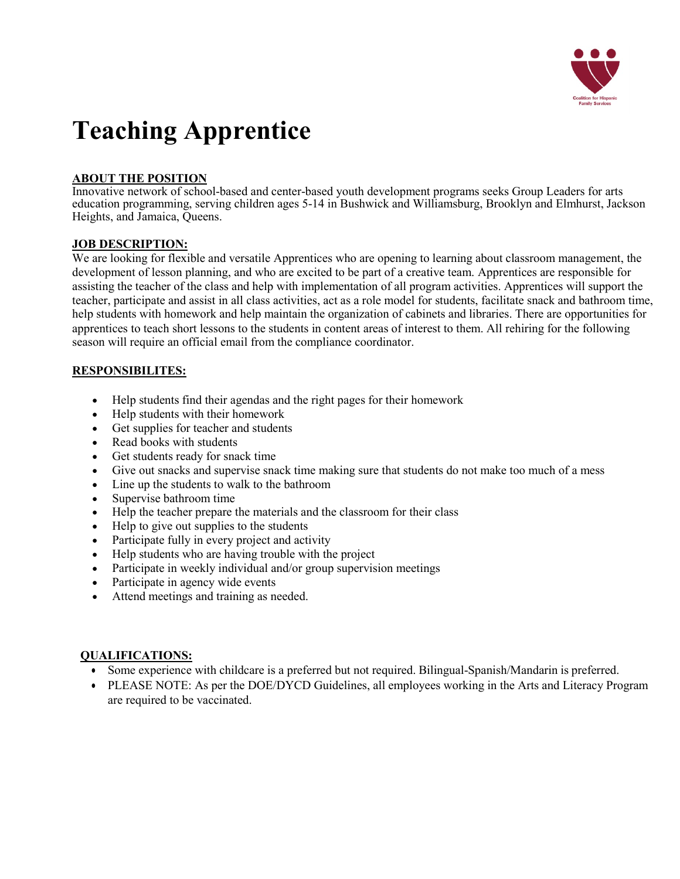

# **Teaching Apprentice**

# **ABOUT THE POSITION**

Innovative network of school-based and center-based youth development programs seeks Group Leaders for arts education programming, serving children ages 5-14 in Bushwick and Williamsburg, Brooklyn and Elmhurst, Jackson Heights, and Jamaica, Queens.

#### **JOB DESCRIPTION:**

We are looking for flexible and versatile Apprentices who are opening to learning about classroom management, the development of lesson planning, and who are excited to be part of a creative team. Apprentices are responsible for assisting the teacher of the class and help with implementation of all program activities. Apprentices will support the teacher, participate and assist in all class activities, act as a role model for students, facilitate snack and bathroom time, help students with homework and help maintain the organization of cabinets and libraries. There are opportunities for apprentices to teach short lessons to the students in content areas of interest to them. All rehiring for the following season will require an official email from the compliance coordinator.

## **RESPONSIBILITES:**

- Help students find their agendas and the right pages for their homework
- Help students with their homework
- Get supplies for teacher and students
- Read books with students
- Get students ready for snack time
- Give out snacks and supervise snack time making sure that students do not make too much of a mess
- Line up the students to walk to the bathroom
- Supervise bathroom time
- Help the teacher prepare the materials and the classroom for their class
- Help to give out supplies to the students
- Participate fully in every project and activity
- Help students who are having trouble with the project
- Participate in weekly individual and/or group supervision meetings
- Participate in agency wide events
- Attend meetings and training as needed.

#### **QUALIFICATIONS:**

- Some experience with childcare is a preferred but not required. Bilingual-Spanish/Mandarin is preferred.
- PLEASE NOTE: As per the DOE/DYCD Guidelines, all employees working in the Arts and Literacy Program are required to be vaccinated.